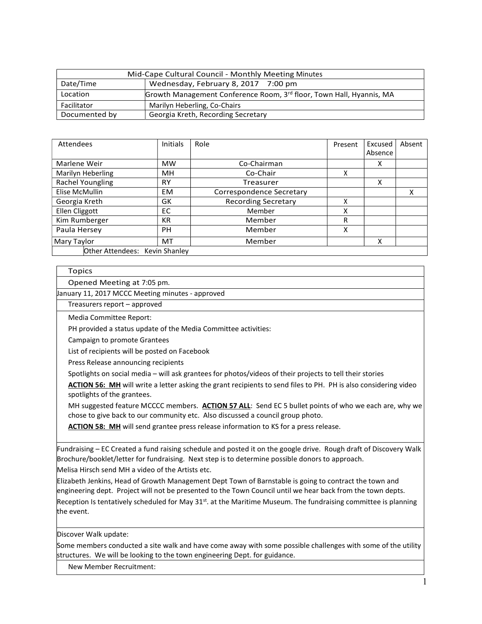| Mid-Cape Cultural Council - Monthly Meeting Minutes |                                                                      |  |
|-----------------------------------------------------|----------------------------------------------------------------------|--|
| Date/Time                                           | Wednesday, February 8, 2017 7:00 pm                                  |  |
| Location                                            | Growth Management Conference Room, 3rd floor, Town Hall, Hyannis, MA |  |
| Facilitator                                         | Marilyn Heberling, Co-Chairs                                         |  |
| Documented by                                       | Georgia Kreth, Recording Secretary                                   |  |

| Attendees                      | Initials  | Role                       | Present | Excused<br>Absence | Absent |
|--------------------------------|-----------|----------------------------|---------|--------------------|--------|
| Marlene Weir                   | <b>MW</b> | Co-Chairman                |         | x                  |        |
| Marilyn Heberling              | MH        | Co-Chair                   | ^       |                    |        |
| Rachel Youngling               | <b>RY</b> | Treasurer                  |         | x                  |        |
| Elise McMullin                 | <b>EM</b> | Correspondence Secretary   |         |                    | x      |
| Georgia Kreth                  | GK        | <b>Recording Secretary</b> | л       |                    |        |
| Ellen Cliggott                 | EC.       | Member                     | x       |                    |        |
| Kim Rumberger                  | <b>KR</b> | Member                     | R       |                    |        |
| Paula Hersey                   | <b>PH</b> | Member                     | Χ       |                    |        |
| Mary Taylor                    | MT        | Member                     |         | x                  |        |
| Other Attendees: Kevin Shanley |           |                            |         |                    |        |

## Topics

Opened Meeting at 7:05 pm.

January 11, 2017 MCCC Meeting minutes - approved

Treasurers report – approved

Media Committee Report:

PH provided a status update of the Media Committee activities:

Campaign to promote Grantees

List of recipients will be posted on Facebook

Press Release announcing recipients

Spotlights on social media – will ask grantees for photos/videos of their projects to tell their stories

ACTION 56: MH will write a letter asking the grant recipients to send files to PH. PH is also considering video spotlights of the grantees.

MH suggested feature MCCCC members. ACTION 57 ALL: Send EC 5 bullet points of who we each are, why we chose to give back to our community etc. Also discussed a council group photo.

ACTION 58: MH will send grantee press release information to KS for a press release.

Fundraising – EC Created a fund raising schedule and posted it on the google drive. Rough draft of Discovery Walk Brochure/booklet/letter for fundraising. Next step is to determine possible donors to approach.

Melisa Hirsch send MH a video of the Artists etc.

Elizabeth Jenkins, Head of Growth Management Dept Town of Barnstable is going to contract the town and engineering dept. Project will not be presented to the Town Council until we hear back from the town depts. Reception Is tentatively scheduled for May 31<sup>st</sup>. at the Maritime Museum. The fundraising committee is planning the event.

Discover Walk update:

Some members conducted a site walk and have come away with some possible challenges with some of the utility structures. We will be looking to the town engineering Dept. for guidance.

New Member Recruitment: